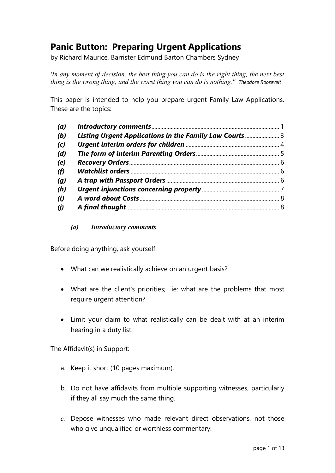# **Panic Button: Preparing Urgent Applications**

by Richard Maurice, Barrister Edmund Barton Chambers Sydney

*'In any moment of decision, the best thing you can do is the right thing, the next best thing is the wrong thing, and the worst thing you can do is nothing." Theodore Roosevelt* 

This paper is intended to help you prepare urgent Family Law Applications. These are the topics:

| (a)                         |                                                         |  |
|-----------------------------|---------------------------------------------------------|--|
| (b)                         | Listing Urgent Applications in the Family Law Courts  3 |  |
| (c)                         |                                                         |  |
| (d)                         |                                                         |  |
| (e)                         |                                                         |  |
| (f)                         |                                                         |  |
| (g)                         |                                                         |  |
| (h)                         |                                                         |  |
| (i)                         |                                                         |  |
| $\boldsymbol{(\mathit{j})}$ |                                                         |  |

#### *(a) Introductory comments*

Before doing anything, ask yourself:

- What can we realistically achieve on an urgent basis?
- What are the client's priorities; ie: what are the problems that most require urgent attention?
- Limit your claim to what realistically can be dealt with at an interim hearing in a duty list.

The Affidavit(s) in Support:

- a. Keep it short (10 pages maximum).
- b. Do not have affidavits from multiple supporting witnesses, particularly if they all say much the same thing.
- *c.* Depose witnesses who made relevant direct observations, not those who give unqualified or worthless commentary: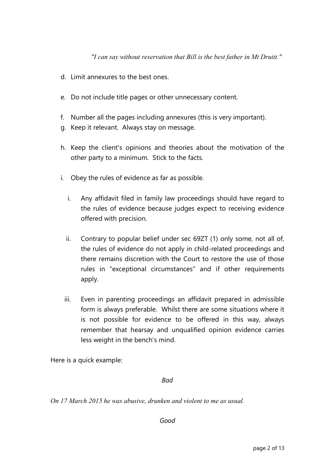*"I can say without reservation that Bill is the best father in Mt Druitt."* 

- d. Limit annexures to the best ones.
- e. Do not include title pages or other unnecessary content.
- f. Number all the pages including annexures (this is very important).
- g. Keep it relevant. Always stay on message.
- h. Keep the client's opinions and theories about the motivation of the other party to a minimum. Stick to the facts.
- i. Obey the rules of evidence as far as possible.
	- i. Any affidavit filed in family law proceedings should have regard to the rules of evidence because judges expect to receiving evidence offered with precision.
	- ii. Contrary to popular belief under sec 69ZT (1) only some, not all of, the rules of evidence do not apply in child-related proceedings and there remains discretion with the Court to restore the use of those rules in "exceptional circumstances" and if other requirements apply.
	- iii. Even in parenting proceedings an affidavit prepared in admissible form is always preferable. Whilst there are some situations where it is not possible for evidence to be offered in this way, always remember that hearsay and unqualified opinion evidence carries less weight in the bench's mind.

Here is a quick example:

*Bad* 

*On 17 March 2015 he was abusive, drunken and violent to me as usual.* 

*Good*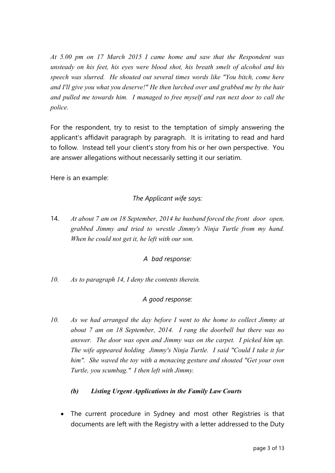*At 5.00 pm on 17 March 2015 I came home and saw that the Respondent was unsteady on his feet, his eyes were blood shot, his breath smelt of alcohol and his speech was slurred. He shouted out several times words like "You bitch, come here and I'll give you what you deserve!" He then lurched over and grabbed me by the hair and pulled me towards him. I managed to free myself and ran next door to call the police.* 

For the respondent, try to resist to the temptation of simply answering the applicant's affidavit paragraph by paragraph. It is irritating to read and hard to follow. Instead tell your client's story from his or her own perspective. You are answer allegations without necessarily setting it our seriatim.

Here is an example:

# *The Applicant wife says:*

14. *At about 7 am on 18 September, 2014 he husband forced the front door open, grabbed Jimmy and tried to wrestle Jimmy's Ninja Turtle from my hand. When he could not get it, he left with our son.* 

### *A bad response:*

*10. As to paragraph 14, I deny the contents therein.* 

# *A good response:*

*10. As we had arranged the day before I went to the home to collect Jimmy at about 7 am on 18 September, 2014. I rang the doorbell but there was no answer. The door was open and Jimmy was on the carpet. I picked him up. The wife appeared holding Jimmy's Ninja Turtle. I said "Could I take it for him". She waved the toy with a menacing gesture and shouted "Get your own Turtle, you scumbag." I then left with Jimmy.* 

# *(b) Listing Urgent Applications in the Family Law Courts*

 The current procedure in Sydney and most other Registries is that documents are left with the Registry with a letter addressed to the Duty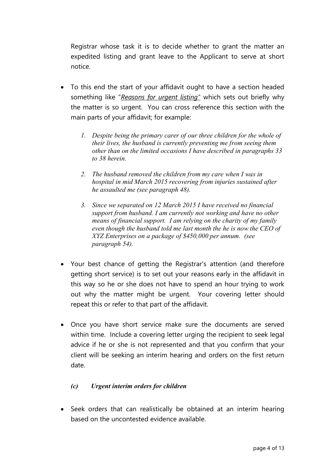Registrar whose task it is to decide whether to grant the matter an expedited listing and grant leave to the Applicant to serve at short notice.

- To this end the start of your affidavit ought to have a section headed something like "*Reasons for urgent listing"* which sets out briefly why the matter is so urgent. You can cross reference this section with the main parts of your affidavit; for example:
	- *1. Despite being the primary carer of our three children for the whole of their lives, the husband is currently preventing me from seeing them other than on the limited occasions I have described in paragraphs 33 to 38 herein.*
	- *2. The husband removed the children from my care when I was in hospital in mid March 2015 recovering from injuries sustained after he assaulted me (see paragraph 48).*
	- *3. Since we separated on 12 March 2015 I have received no financial support from husband. I am currently not working and have no other means of financial support. I am relying on the charity of my family even though the husband told me last month the he is now the CEO of XYZ Enterprises on a package of \$450,000 per annum. (see paragraph 54).*
- Your best chance of getting the Registrar's attention (and therefore getting short service) is to set out your reasons early in the affidavit in this way so he or she does not have to spend an hour trying to work out why the matter might be urgent. Your covering letter should repeat this or refer to that part of the affidavit.
- Once you have short service make sure the documents are served within time. Include a covering letter urging the recipient to seek legal advice if he or she is not represented and that you confirm that your client will be seeking an interim hearing and orders on the first return date.

### *(c) Urgent interim orders for children*

 Seek orders that can realistically be obtained at an interim hearing based on the uncontested evidence available.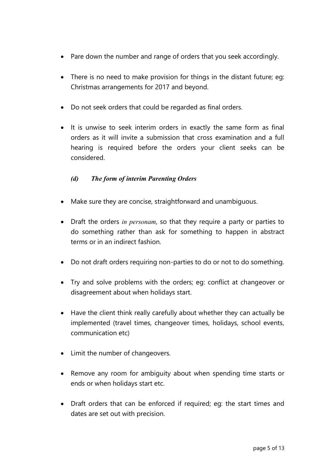- Pare down the number and range of orders that you seek accordingly.
- There is no need to make provision for things in the distant future; eg: Christmas arrangements for 2017 and beyond.
- Do not seek orders that could be regarded as final orders.
- It is unwise to seek interim orders in exactly the same form as final orders as it will invite a submission that cross examination and a full hearing is required before the orders your client seeks can be considered.

### *(d) The form of interim Parenting Orders*

- Make sure they are concise, straightforward and unambiguous.
- Draft the orders *in personam*, so that they require a party or parties to do something rather than ask for something to happen in abstract terms or in an indirect fashion.
- Do not draft orders requiring non-parties to do or not to do something.
- Try and solve problems with the orders; eg: conflict at changeover or disagreement about when holidays start.
- Have the client think really carefully about whether they can actually be implemented (travel times, changeover times, holidays, school events, communication etc)
- Limit the number of changeovers.
- Remove any room for ambiguity about when spending time starts or ends or when holidays start etc.
- Draft orders that can be enforced if required; eg: the start times and dates are set out with precision.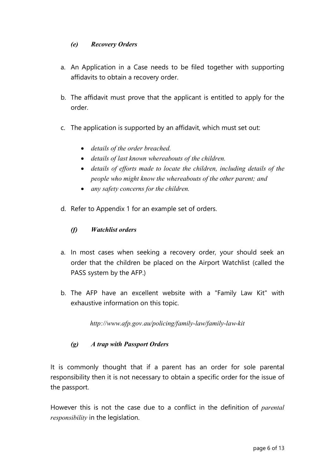### *(e) Recovery Orders*

- a. An Application in a Case needs to be filed together with supporting affidavits to obtain a recovery order.
- b. The affidavit must prove that the applicant is entitled to apply for the order.
- c. The application is supported by an affidavit, which must set out:
	- *details of the order breached.*
	- *details of last known whereabouts of the children.*
	- *details of efforts made to locate the children, including details of the people who might know the whereabouts of the other parent; and*
	- *any safety concerns for the children.*
- d. Refer to Appendix 1 for an example set of orders.

### *(f) Watchlist orders*

- a. In most cases when seeking a recovery order, your should seek an order that the children be placed on the Airport Watchlist (called the PASS system by the AFP.)
- b. The AFP have an excellent website with a "Family Law Kit" with exhaustive information on this topic.

*http://www.afp.gov.au/policing/family-law/family-law-kit* 

### *(g) A trap with Passport Orders*

It is commonly thought that if a parent has an order for sole parental responsibility then it is not necessary to obtain a specific order for the issue of the passport.

However this is not the case due to a conflict in the definition of *parental responsibility* in the legislation.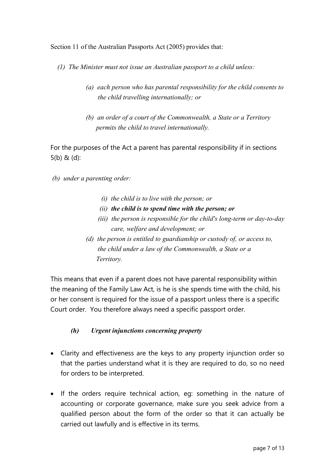Section 11 of the Australian Passports Act (2005) provides that:

*(1) The Minister must not issue an Australian passport to a child unless:* 

- *(a) each person who has parental responsibility for the child consents to the child travelling internationally; or*
- *(b) an order of a court of the Commonwealth, a State or a Territory permits the child to travel internationally.*

For the purposes of the Act a parent has parental responsibility if in sections 5(b) & (d):

- *(b) under a parenting order:* 
	- *(i) the child is to live with the person; or*
	- *(ii) the child is to spend time with the person; or*
	- *(iii) the person is responsible for the child's long-term or day-to-day care, welfare and development; or*
	- *(d) the person is entitled to guardianship or custody of, or access to, the child under a law of the Commonwealth, a State or a Territory.*

This means that even if a parent does not have parental responsibility within the meaning of the Family Law Act, is he is she spends time with the child, his or her consent is required for the issue of a passport unless there is a specific Court order. You therefore always need a specific passport order.

### *(h) Urgent injunctions concerning property*

- Clarity and effectiveness are the keys to any property injunction order so that the parties understand what it is they are required to do, so no need for orders to be interpreted.
- If the orders require technical action, eg: something in the nature of accounting or corporate governance, make sure you seek advice from a qualified person about the form of the order so that it can actually be carried out lawfully and is effective in its terms.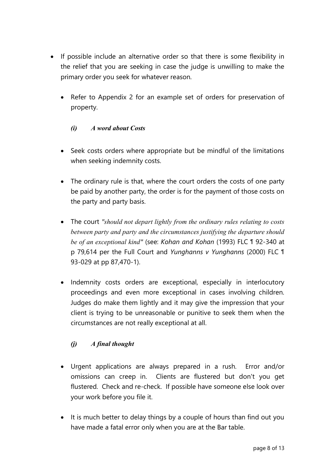- If possible include an alternative order so that there is some flexibility in the relief that you are seeking in case the judge is unwilling to make the primary order you seek for whatever reason.
	- Refer to Appendix 2 for an example set of orders for preservation of property.

### *(i) A word about Costs*

- Seek costs orders where appropriate but be mindful of the limitations when seeking indemnity costs.
- The ordinary rule is that, where the court orders the costs of one party be paid by another party, the order is for the payment of those costs on the party and party basis.
- The court *"should not depart lightly from the ordinary rules relating to costs between party and party and the circumstances justifying the departure should be of an exceptional kind"* (see: *Kohan and Kohan* (1993) FLC ¶ 92-340 at p 79,614 per the Full Court and *Yunghanns v Yunghanns* (2000) FLC ¶ 93-029 at pp 87,470-1).
- Indemnity costs orders are exceptional, especially in interlocutory proceedings and even more exceptional in cases involving children. Judges do make them lightly and it may give the impression that your client is trying to be unreasonable or punitive to seek them when the circumstances are not really exceptional at all.

# *(j) A final thought*

- Urgent applications are always prepared in a rush. Error and/or omissions can creep in. Clients are flustered but don't you get flustered. Check and re-check. If possible have someone else look over your work before you file it.
- It is much better to delay things by a couple of hours than find out you have made a fatal error only when you are at the Bar table.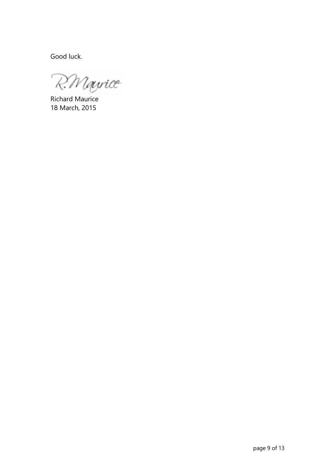Good luck.

R. Mayrice

Richard Maurice 18 March, 2015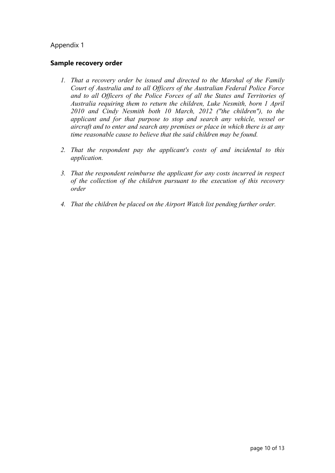#### Appendix 1

#### **Sample recovery order**

- *1. That a recovery order be issued and directed to the Marshal of the Family Court of Australia and to all Officers of the Australian Federal Police Force and to all Officers of the Police Forces of all the States and Territories of Australia requiring them to return the children, Luke Nesmith, born 1 April 2010 and Cindy Nesmith both 10 March, 2012 ("the children"), to the applicant and for that purpose to stop and search any vehicle, vessel or aircraft and to enter and search any premises or place in which there is at any time reasonable cause to believe that the said children may be found.*
- *2. That the respondent pay the applicant's costs of and incidental to this application.*
- *3. That the respondent reimburse the applicant for any costs incurred in respect of the collection of the children pursuant to the execution of this recovery order*
- *4. That the children be placed on the Airport Watch list pending further order.*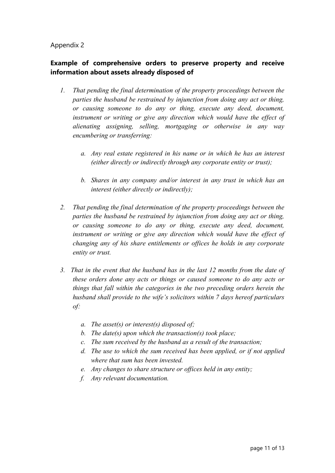#### Appendix 2

### **Example of comprehensive orders to preserve property and receive information about assets already disposed of**

- *1. That pending the final determination of the property proceedings between the parties the husband be restrained by injunction from doing any act or thing, or causing someone to do any or thing, execute any deed, document, instrument or writing or give any direction which would have the effect of alienating assigning, selling, mortgaging or otherwise in any way encumbering or transferring:* 
	- *a. Any real estate registered in his name or in which he has an interest (either directly or indirectly through any corporate entity or trust);*
	- *b. Shares in any company and/or interest in any trust in which has an interest (either directly or indirectly);*
- *2. That pending the final determination of the property proceedings between the parties the husband be restrained by injunction from doing any act or thing, or causing someone to do any or thing, execute any deed, document, instrument or writing or give any direction which would have the effect of changing any of his share entitlements or offices he holds in any corporate entity or trust.*
- *3. That in the event that the husband has in the last 12 months from the date of these orders done any acts or things or caused someone to do any acts or things that fall within the categories in the two preceding orders herein the husband shall provide to the wife's solicitors within 7 days hereof particulars of:* 
	- *a. The asset(s) or interest(s) disposed of;*
	- *b. The date(s) upon which the transaction(s) took place;*
	- *c. The sum received by the husband as a result of the transaction;*
	- *d. The use to which the sum received has been applied, or if not applied where that sum has been invested.*
	- *e. Any changes to share structure or offices held in any entity;*
	- *f. Any relevant documentation.*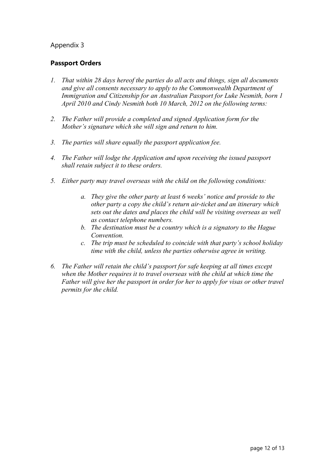#### Appendix 3

#### **Passport Orders**

- *1. That within 28 days hereof the parties do all acts and things, sign all documents and give all consents necessary to apply to the Commonwealth Department of Immigration and Citizenship for an Australian Passport for Luke Nesmith, born 1 April 2010 and Cindy Nesmith both 10 March, 2012 on the following terms:*
- *2. The Father will provide a completed and signed Application form for the Mother's signature which she will sign and return to him.*
- *3. The parties will share equally the passport application fee.*
- *4. The Father will lodge the Application and upon receiving the issued passport shall retain subject it to these orders.*
- *5. Either party may travel overseas with the child on the following conditions:* 
	- *a. They give the other party at least 6 weeks' notice and provide to the other party a copy the child's return air-ticket and an itinerary which sets out the dates and places the child will be visiting overseas as well as contact telephone numbers.*
	- *b. The destination must be a country which is a signatory to the Hague Convention.*
	- *c. The trip must be scheduled to coincide with that party's school holiday time with the child, unless the parties otherwise agree in writing.*
- *6. The Father will retain the child's passport for safe keeping at all times except when the Mother requires it to travel overseas with the child at which time the Father will give her the passport in order for her to apply for visas or other travel permits for the child.*